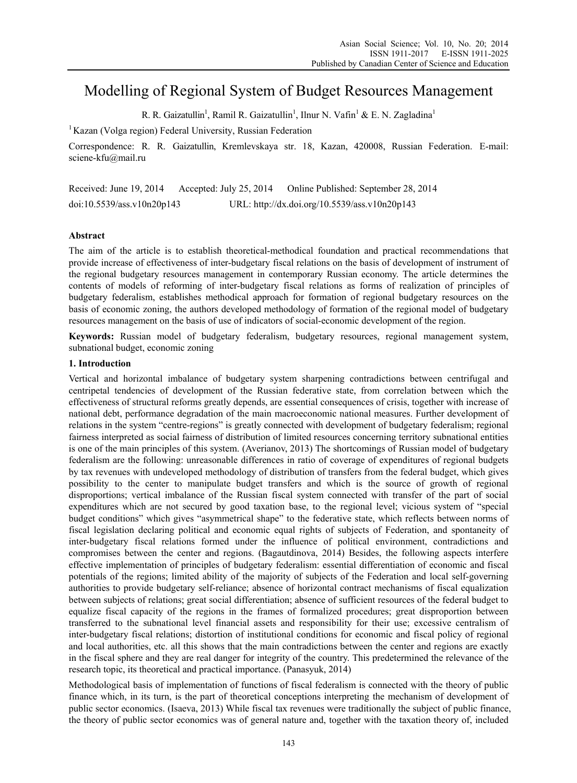# Modelling of Regional System of Budget Resources Management

R. R. Gaizatullin<sup>1</sup>, Ramil R. Gaizatullin<sup>1</sup>, Ilnur N. Vafin<sup>1</sup> & E. N. Zagladina<sup>1</sup>

 $1$  Kazan (Volga region) Federal University, Russian Federation

Correspondence: R. R. Gaizatullin, Kremlevskaya str. 18, Kazan, 420008, Russian Federation. E-mail: sciene-kfu@mail.ru

Received: June 19, 2014 Accepted: July 25, 2014 Online Published: September 28, 2014 doi:10.5539/ass.v10n20p143 URL: http://dx.doi.org/10.5539/ass.v10n20p143

# **Abstract**

The aim of the article is to establish theoretical-methodical foundation and practical recommendations that provide increase of effectiveness of inter-budgetary fiscal relations on the basis of development of instrument of the regional budgetary resources management in contemporary Russian economy. The article determines the contents of models of reforming of inter-budgetary fiscal relations as forms of realization of principles of budgetary federalism, establishes methodical approach for formation of regional budgetary resources on the basis of economic zoning, the authors developed methodology of formation of the regional model of budgetary resources management on the basis of use of indicators of social-economic development of the region.

**Keywords:** Russian model of budgetary federalism, budgetary resources, regional management system, subnational budget, economic zoning

# **1. Introduction**

Vertical and horizontal imbalance of budgetary system sharpening contradictions between centrifugal and centripetal tendencies of development of the Russian federative state, from correlation between which the effectiveness of structural reforms greatly depends, are essential consequences of crisis, together with increase of national debt, performance degradation of the main macroeconomic national measures. Further development of relations in the system "centre-regions" is greatly connected with development of budgetary federalism; regional fairness interpreted as social fairness of distribution of limited resources concerning territory subnational entities is one of the main principles of this system. (Averianov, 2013) The shortcomings of Russian model of budgetary federalism are the following: unreasonable differences in ratio of coverage of expenditures of regional budgets by tax revenues with undeveloped methodology of distribution of transfers from the federal budget, which gives possibility to the center to manipulate budget transfers and which is the source of growth of regional disproportions; vertical imbalance of the Russian fiscal system connected with transfer of the part of social expenditures which are not secured by good taxation base, to the regional level; vicious system of "special budget conditions" which gives "asymmetrical shape" to the federative state, which reflects between norms of fiscal legislation declaring political and economic equal rights of subjects of Federation, and spontaneity of inter-budgetary fiscal relations formed under the influence of political environment, contradictions and compromises between the center and regions. (Bagautdinova, 2014) Besides, the following aspects interfere effective implementation of principles of budgetary federalism: essential differentiation of economic and fiscal potentials of the regions; limited ability of the majority of subjects of the Federation and local self-governing authorities to provide budgetary self-reliance; absence of horizontal contract mechanisms of fiscal equalization between subjects of relations; great social differentiation; absence of sufficient resources of the federal budget to equalize fiscal capacity of the regions in the frames of formalized procedures; great disproportion between transferred to the subnational level financial assets and responsibility for their use; excessive centralism of inter-budgetary fiscal relations; distortion of institutional conditions for economic and fiscal policy of regional and local authorities, etc. all this shows that the main contradictions between the center and regions are exactly in the fiscal sphere and they are real danger for integrity of the country. This predetermined the relevance of the research topic, its theoretical and practical importance. (Panasyuk, 2014)

Methodological basis of implementation of functions of fiscal federalism is connected with the theory of public finance which, in its turn, is the part of theoretical conceptions interpreting the mechanism of development of public sector economics. (Isaeva, 2013) While fiscal tax revenues were traditionally the subject of public finance, the theory of public sector economics was of general nature and, together with the taxation theory of, included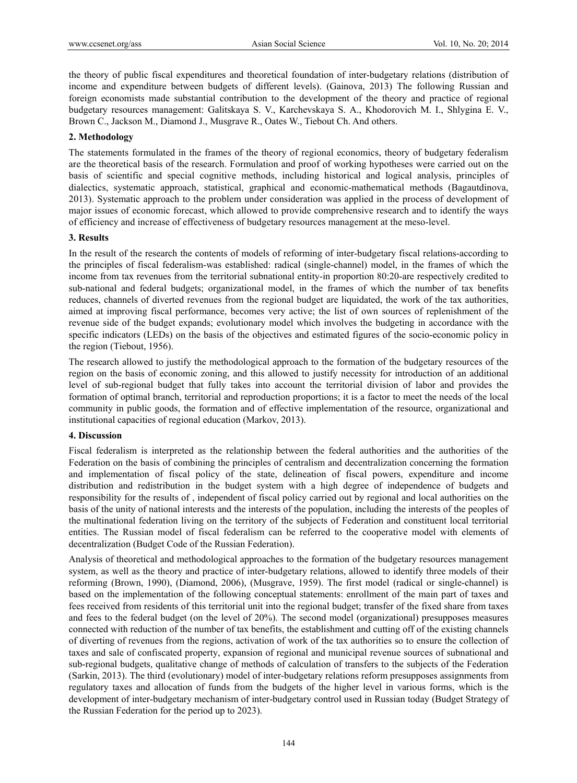the theory of public fiscal expenditures and theoretical foundation of inter-budgetary relations (distribution of income and expenditure between budgets of different levels). (Gainova, 2013) The following Russian and foreign economists made substantial contribution to the development of the theory and practice of regional budgetary resources management: Galitskaya S. V., Karchevskaya S. A., Khodorovich M. I., Shlygina E. V., Вrown С., Jackson M., Diamond J., Musgrave R., Oates W., Tiebout Ch. And others.

## **2. Methodology**

The statements formulated in the frames of the theory of regional economics, theory of budgetary federalism are the theoretical basis of the research. Formulation and proof of working hypotheses were carried out on the basis of scientific and special cognitive methods, including historical and logical analysis, principles of dialectics, systematic approach, statistical, graphical and economic-mathematical methods (Bagautdinova, 2013). Systematic approach to the problem under consideration was applied in the process of development of major issues of economic forecast, which allowed to provide comprehensive research and to identify the ways of efficiency and increase of effectiveness of budgetary resources management at the meso-level.

### **3. Results**

In the result of the research the contents of models of reforming of inter-budgetary fiscal relations-according to the principles of fiscal federalism-was established: radical (single-channel) model, in the frames of which the income from tax revenues from the territorial subnational entity-in proportion 80:20-are respectively credited to sub-national and federal budgets; organizational model, in the frames of which the number of tax benefits reduces, channels of diverted revenues from the regional budget are liquidated, the work of the tax authorities, aimed at improving fiscal performance, becomes very active; the list of own sources of replenishment of the revenue side of the budget expands; evolutionary model which involves the budgeting in accordance with the specific indicators (LEDs) on the basis of the objectives and estimated figures of the socio-economic policy in the region (Tiebout, 1956).

The research allowed to justify the methodological approach to the formation of the budgetary resources of the region on the basis of economic zoning, and this allowed to justify necessity for introduction of an additional level of sub-regional budget that fully takes into account the territorial division of labor and provides the formation of optimal branch, territorial and reproduction proportions; it is a factor to meet the needs of the local community in public goods, the formation and of effective implementation of the resource, organizational and institutional capacities of regional education (Markov, 2013).

### **4. Discussion**

Fiscal federalism is interpreted as the relationship between the federal authorities and the authorities of the Federation on the basis of combining the principles of centralism and decentralization concerning the formation and implementation of fiscal policy of the state, delineation of fiscal powers, expenditure and income distribution and redistribution in the budget system with a high degree of independence of budgets and responsibility for the results of , independent of fiscal policy carried out by regional and local authorities on the basis of the unity of national interests and the interests of the population, including the interests of the peoples of the multinational federation living on the territory of the subjects of Federation and constituent local territorial entities. The Russian model of fiscal federalism can be referred to the cooperative model with elements of decentralization (Budget Code of the Russian Federation).

Analysis of theoretical and methodological approaches to the formation of the budgetary resources management system, as well as the theory and practice of inter-budgetary relations, allowed to identify three models of their reforming (Вrown, 1990), (Diamond, 2006), (Musgrave, 1959). The first model (radical or single-channel) is based on the implementation of the following conceptual statements: enrollment of the main part of taxes and fees received from residents of this territorial unit into the regional budget; transfer of the fixed share from taxes and fees to the federal budget (on the level of 20%). The second model (organizational) presupposes measures connected with reduction of the number of tax benefits, the establishment and cutting off of the existing channels of diverting of revenues from the regions, activation of work of the tax authorities so to ensure the collection of taxes and sale of confiscated property, expansion of regional and municipal revenue sources of subnational and sub-regional budgets, qualitative change of methods of calculation of transfers to the subjects of the Federation (Sarkin, 2013). The third (evolutionary) model of inter-budgetary relations reform presupposes assignments from regulatory taxes and allocation of funds from the budgets of the higher level in various forms, which is the development of inter-budgetary mechanism of inter-budgetary control used in Russian today (Budget Strategy of the Russian Federation for the period up to 2023).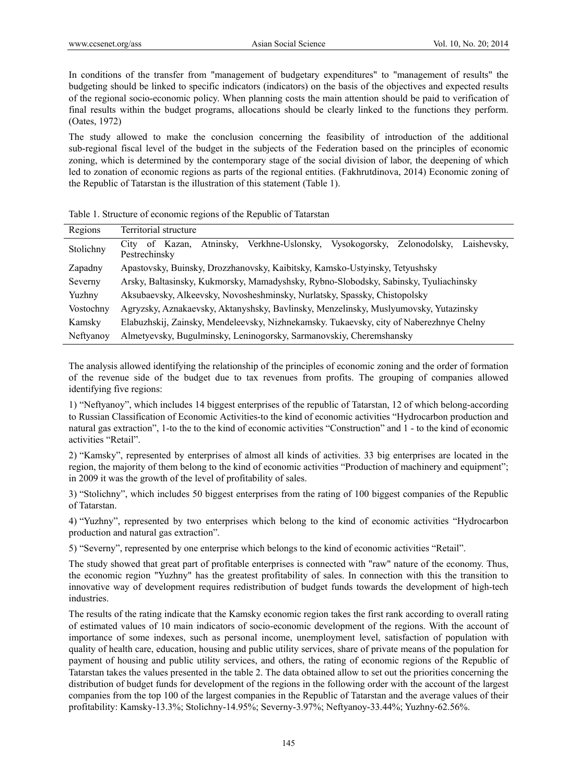In conditions of the transfer from "management of budgetary expenditures" to "management of results" the budgeting should be linked to specific indicators (indicators) on the basis of the objectives and expected results of the regional socio-economic policy. When planning costs the main attention should be paid to verification of final results within the budget programs, allocations should be clearly linked to the functions they perform. (Oates, 1972)

The study allowed to make the conclusion concerning the feasibility of introduction of the additional sub-regional fiscal level of the budget in the subjects of the Federation based on the principles of economic zoning, which is determined by the contemporary stage of the social division of labor, the deepening of which led to zonation of economic regions as parts of the regional entities. (Fakhrutdinova, 2014) Economic zoning of the Republic of Tatarstan is the illustration of this statement (Table 1).

| Regions   | Territorial structure                                                                                                    |  |  |  |  |  |  |
|-----------|--------------------------------------------------------------------------------------------------------------------------|--|--|--|--|--|--|
| Stolichny | Zelonodolsky,<br>Verkhne-Uslonsky.<br>Vysokogorsky,<br>Atninsky.<br>Laishevsky.<br>Kazan.<br>City<br>0f<br>Pestrechinsky |  |  |  |  |  |  |
| Zapadny   | Apastovsky, Buinsky, Drozzhanovsky, Kaibitsky, Kamsko-Ustyinsky, Tetyushsky                                              |  |  |  |  |  |  |
| Severny   | Arsky, Baltasinsky, Kukmorsky, Mamadyshsky, Rybno-Slobodsky, Sabinsky, Tyuliachinsky                                     |  |  |  |  |  |  |
| Yuzhny    | Aksubaevsky, Alkeevsky, Novosheshminsky, Nurlatsky, Spassky, Chistopolsky                                                |  |  |  |  |  |  |
| Vostochny | Agryzsky, Aznakaevsky, Aktanyshsky, Bavlinsky, Menzelinsky, Muslyumovsky, Yutazinsky                                     |  |  |  |  |  |  |
| Kamsky    | Elabuzhskij, Zainsky, Mendeleevsky, Nizhnekamsky. Tukaevsky, city of Naberezhnye Chelny                                  |  |  |  |  |  |  |
| Neftyanoy | Almetyevsky, Bugulminsky, Leninogorsky, Sarmanovskiy, Cheremshansky                                                      |  |  |  |  |  |  |

|  |  | Table 1. Structure of economic regions of the Republic of Tatarstan |  |
|--|--|---------------------------------------------------------------------|--|
|  |  |                                                                     |  |

The analysis allowed identifying the relationship of the principles of economic zoning and the order of formation of the revenue side of the budget due to tax revenues from profits. The grouping of companies allowed identifying five regions:

1) "Neftyanoy", which includes 14 biggest enterprises of the republic of Tatarstan, 12 of which belong-according to Russian Classification of Economic Activities-to the kind of economic activities "Hydrocarbon production and natural gas extraction", 1-to the to the kind of economic activities "Construction" and 1 - to the kind of economic activities "Retail".

2) "Kamsky", represented by enterprises of almost all kinds of activities. 33 big enterprises are located in the region, the majority of them belong to the kind of economic activities "Production of machinery and equipment"; in 2009 it was the growth of the level of profitability of sales.

3) "Stolichny", which includes 50 biggest enterprises from the rating of 100 biggest companies of the Republic of Tatarstan.

4) "Yuzhny", represented by two enterprises which belong to the kind of economic activities "Hydrocarbon production and natural gas extraction".

5) "Severny", represented by one enterprise which belongs to the kind of economic activities "Retail".

The study showed that great part of profitable enterprises is connected with "raw" nature of the economy. Thus, the economic region "Yuzhny" has the greatest profitability of sales. In connection with this the transition to innovative way of development requires redistribution of budget funds towards the development of high-tech industries.

The results of the rating indicate that the Kamsky economic region takes the first rank according to overall rating of estimated values of 10 main indicators of socio-economic development of the regions. With the account of importance of some indexes, such as personal income, unemployment level, satisfaction of population with quality of health care, education, housing and public utility services, share of private means of the population for payment of housing and public utility services, and others, the rating of economic regions of the Republic of Tatarstan takes the values presented in the table 2. The data obtained allow to set out the priorities concerning the distribution of budget funds for development of the regions in the following order with the account of the largest companies from the top 100 of the largest companies in the Republic of Tatarstan and the average values of their profitability: Kamsky-13.3%; Stolichny-14.95%; Severny-3.97%; Neftyanoy-33.44%; Yuzhny-62.56%.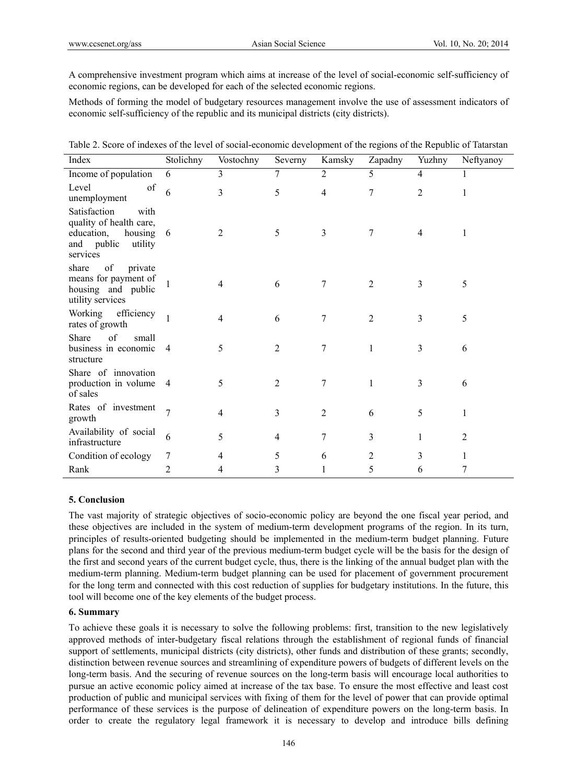A comprehensive investment program which aims at increase of the level of social-economic self-sufficiency of economic regions, can be developed for each of the selected economic regions.

Methods of forming the model of budgetary resources management involve the use of assessment indicators of economic self-sufficiency of the republic and its municipal districts (city districts).

| Table 2. Score of indexes of the level of social-economic development of the regions of the Republic of Tatarstan |  |  |
|-------------------------------------------------------------------------------------------------------------------|--|--|
|-------------------------------------------------------------------------------------------------------------------|--|--|

| Index                                                                                                           | Stolichny      | Vostochny | Severny        | Kamsky         | Zapadny        | Yuzhny         | Neftyanoy      |
|-----------------------------------------------------------------------------------------------------------------|----------------|-----------|----------------|----------------|----------------|----------------|----------------|
| Income of population                                                                                            | 6              | 3         | 7              | $\overline{2}$ | 5              | $\overline{4}$ | 1              |
| Level<br>of<br>unemployment                                                                                     | 6              | 3         | 5              | 4              | 7              | $\overline{2}$ |                |
| Satisfaction<br>with<br>quality of health care,<br>education,<br>housing 6<br>and public<br>utility<br>services |                | 2         | 5              | 3              | 7              | $\overline{4}$ | 1              |
| of<br>private<br>share<br>means for payment of<br>housing and public<br>utility services                        |                | 4         | 6              | $\tau$         | $\overline{2}$ | 3              | 5              |
| Working efficiency<br>rates of growth                                                                           |                |           | 6              | 7              | $\overline{2}$ | 3              | 5              |
| Share<br>of<br>small<br>business in economic<br>structure                                                       | $\overline{4}$ | 5         | 2              | 7              | 1              | 3              | 6              |
| Share of innovation<br>production in volume<br>of sales                                                         | $\overline{4}$ | 5         | $\overline{2}$ | 7              | 1              | 3              | 6              |
| Rates of investment<br>growth                                                                                   | $\overline{7}$ | 4         | 3              | 2              | 6              | 5              | 1              |
| Availability of social<br>infrastructure                                                                        | 6              | 5         | 4              | $\overline{7}$ | 3              | 1              | $\overline{2}$ |
| Condition of ecology                                                                                            | 7              | 4         | 5              | 6              | $\overline{2}$ | 3              | 1              |
| Rank                                                                                                            | 2              | 4         | 3              |                | 5              | 6              | 7              |

### **5. Conclusion**

The vast majority of strategic objectives of socio-economic policy are beyond the one fiscal year period, and these objectives are included in the system of medium-term development programs of the region. In its turn, principles of results-oriented budgeting should be implemented in the medium-term budget planning. Future plans for the second and third year of the previous medium-term budget cycle will be the basis for the design of the first and second years of the current budget cycle, thus, there is the linking of the annual budget plan with the medium-term planning. Medium-term budget planning can be used for placement of government procurement for the long term and connected with this cost reduction of supplies for budgetary institutions. In the future, this tool will become one of the key elements of the budget process.

### **6. Summary**

To achieve these goals it is necessary to solve the following problems: first, transition to the new legislatively approved methods of inter-budgetary fiscal relations through the establishment of regional funds of financial support of settlements, municipal districts (city districts), other funds and distribution of these grants; secondly, distinction between revenue sources and streamlining of expenditure powers of budgets of different levels on the long-term basis. And the securing of revenue sources on the long-term basis will encourage local authorities to pursue an active economic policy aimed at increase of the tax base. To ensure the most effective and least cost production of public and municipal services with fixing of them for the level of power that can provide optimal performance of these services is the purpose of delineation of expenditure powers on the long-term basis. In order to create the regulatory legal framework it is necessary to develop and introduce bills defining